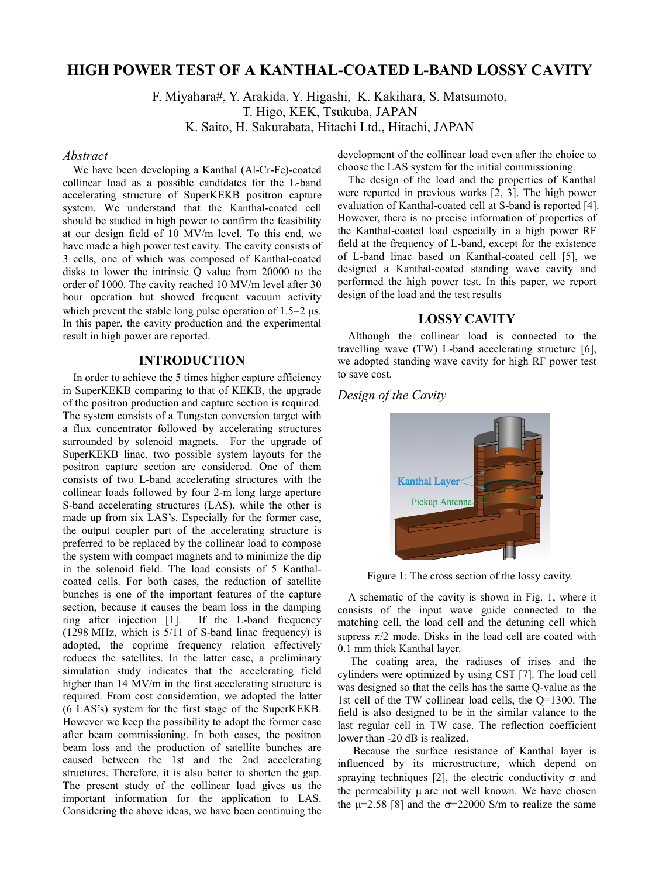# **HIGH POWER TEST OF A KANTHAL-COATED L-BAND LOSSY CAVITY**

F. Miyahara#, Y. Arakida, Y. Higashi, K. Kakihara, S. Matsumoto,

T. Higo, KEK, Tsukuba, JAPAN

K. Saito, H. Sakurabata, Hitachi Ltd., Hitachi, JAPAN

### *Abstract*

We have been developing a Kanthal (Al-Cr-Fe)-coated collinear load as a possible candidates for the L-band accelerating structure of SuperKEKB positron capture system. We understand that the Kanthal-coated cell should be studied in high power to confirm the feasibility at our design field of 10 MV/m level. To this end, we have made a high power test cavity. The cavity consists of 3 cells, one of which was composed of Kanthal-coated disks to lower the intrinsic Q value from 20000 to the order of 1000. The cavity reached 10 MV/m level after 30 hour operation but showed frequent vacuum activity which prevent the stable long pulse operation of  $1.5-2$  us. In this paper, the cavity production and the experimental result in high power are reported.

### **INTRODUCTION**

In order to achieve the 5 times higher capture efficiency in SuperKEKB comparing to that of KEKB, the upgrade of the positron production and capture section is required. The system consists of a Tungsten conversion target with a flux concentrator followed by accelerating structures surrounded by solenoid magnets. For the upgrade of SuperKEKB linac, two possible system layouts for the positron capture section are considered. One of them consists of two L-band accelerating structures with the collinear loads followed by four 2-m long large aperture S-band accelerating structures (LAS), while the other is made up from six LAS's. Especially for the former case, the output coupler part of the accelerating structure is preferred to be replaced by the collinear load to compose the system with compact magnets and to minimize the dip in the solenoid field. The load consists of 5 Kanthalcoated cells. For both cases, the reduction of satellite bunches is one of the important features of the capture section, because it causes the beam loss in the damping ring after injection [1]. If the L-band frequency (1298 MHz, which is 5/11 of S-band linac frequency) is adopted, the coprime frequency relation effectively reduces the satellites. In the latter case, a preliminary simulation study indicates that the accelerating field higher than 14 MV/m in the first accelerating structure is required. From cost consideration, we adopted the latter (6 LAS's) system for the first stage of the SuperKEKB. However we keep the possibility to adopt the former case after beam commissioning. In both cases, the positron beam loss and the production of satellite bunches are caused between the 1st and the 2nd accelerating structures. Therefore, it is also better to shorten the gap. The present study of the collinear load gives us the important information for the application to LAS. Considering the above ideas, we have been continuing the

development of the collinear load even after the choice to choose the LAS system for the initial commissioning.

The design of the load and the properties of Kanthal were reported in previous works [2, 3]. The high power evaluation of Kanthal-coated cell at S-band is reported [4]. However, there is no precise information of properties of the Kanthal-coated load especially in a high power RF field at the frequency of L-band, except for the existence of L-band linac based on Kanthal-coated cell [5], we designed a Kanthal-coated standing wave cavity and performed the high power test. In this paper, we report design of the load and the test results

### **LOSSY CAVITY**

Although the collinear load is connected to the travelling wave (TW) L-band accelerating structure [6], we adopted standing wave cavity for high RF power test to save cost.

## *Design of the Cavity*



Figure 1: The cross section of the lossy cavity.

A schematic of the cavity is shown in Fig. 1, where it consists of the input wave guide connected to the matching cell, the load cell and the detuning cell which supress  $\pi/2$  mode. Disks in the load cell are coated with 0.1 mm thick Kanthal layer.

 The coating area, the radiuses of irises and the cylinders were optimized by using CST [7]. The load cell was designed so that the cells has the same Q-value as the 1st cell of the TW collinear load cells, the Q=1300. The field is also designed to be in the similar valance to the last regular cell in TW case. The reflection coefficient lower than -20 dB is realized.

Because the surface resistance of Kanthal layer is influenced by its microstructure, which depend on spraying techniques [2], the electric conductivity  $\sigma$  and the permeability  $\mu$  are not well known. We have chosen the  $\mu$ =2.58 [8] and the  $\sigma$ =22000 S/m to realize the same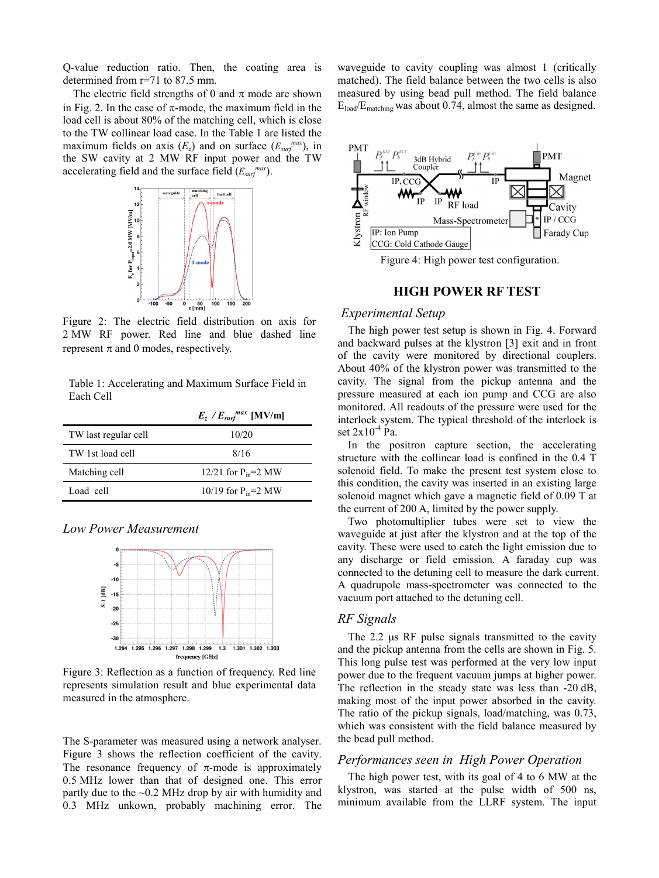Q-value reduction ratio. Then, the coating area is determined from r=71 to 87.5 mm.

The electric field strengths of 0 and  $\pi$  mode are shown in Fig. 2. In the case of  $\pi$ -mode, the maximum field in the load cell is about 80% of the matching cell, which is close to the TW collinear load case. In the Table 1 are listed the maximum fields on axis  $(E_z)$  and on surface  $(E_{surf}^{max})$ , in the SW cavity at 2 MW RF input power and the TW accelerating field and the surface field (*Esurfmax*).



Figure 2: The electric field distribution on axis for 2 MW RF power. Red line and blue dashed line represent  $\pi$  and 0 modes, respectively.

Table 1: Accelerating and Maximum Surface Field in Each Cell

|                      | $E_z / E_{surf}$ <sup>max</sup> [MV/m] |
|----------------------|----------------------------------------|
| TW last regular cell | 10/20                                  |
| TW 1st load cell     | 8/16                                   |
| Matching cell        | 12/21 for $P_{in} = 2 MW$              |
| Load cell            | 10/19 for $P_{in}=2$ MW                |

#### *Low Power Measurement*



Figure 3: Reflection as a function of frequency. Red line represents simulation result and blue experimental data measured in the atmosphere.

The S-parameter was measured using a network analyser. Figure 3 shows the reflection coefficient of the cavity. The resonance frequency of  $\pi$ -mode is approximately 0.5 MHz lower than that of designed one. This error partly due to the  $\sim 0.2$  MHz drop by air with humidity and 0.3 MHz unkown, probably machining error. The

waveguide to cavity coupling was almost 1 (critically matched). The field balance between the two cells is also measured by using bead pull method. The field balance Eload/Ematching was about 0.74, almost the same as designed.



Figure 4: High power test configuration.

## **HIGH POWER RF TEST**

### *Experimental Setup*

The high power test setup is shown in Fig. 4. Forward and backward pulses at the klystron [3] exit and in front of the cavity were monitored by directional couplers. About 40% of the klystron power was transmitted to the cavity. The signal from the pickup antenna and the pressure measured at each ion pump and CCG are also monitored. All readouts of the pressure were used for the interlock system. The typical threshold of the interlock is set  $2x10^{-4}$  Pa.

In the positron capture section, the accelerating structure with the collinear load is confined in the 0.4 T solenoid field. To make the present test system close to this condition, the cavity was inserted in an existing large solenoid magnet which gave a magnetic field of 0.09 T at the current of 200 A, limited by the power supply.

Two photomultiplier tubes were set to view the waveguide at just after the klystron and at the top of the cavity. These were used to catch the light emission due to any discharge or field emission. A faraday cup was connected to the detuning cell to measure the dark current. A quadrupole mass-spectrometer was connected to the vacuum port attached to the detuning cell.

### *RF Signals*

The  $2.2 \mu s$  RF pulse signals transmitted to the cavity and the pickup antenna from the cells are shown in Fig. 5. This long pulse test was performed at the very low input power due to the frequent vacuum jumps at higher power. The reflection in the steady state was less than -20 dB, making most of the input power absorbed in the cavity. The ratio of the pickup signals, load/matching, was 0.73, which was consistent with the field balance measured by the bead pull method.

#### *Performances seen in High Power Operation*

The high power test, with its goal of 4 to 6 MW at the klystron, was started at the pulse width of 500 ns, minimum available from the LLRF system. The input